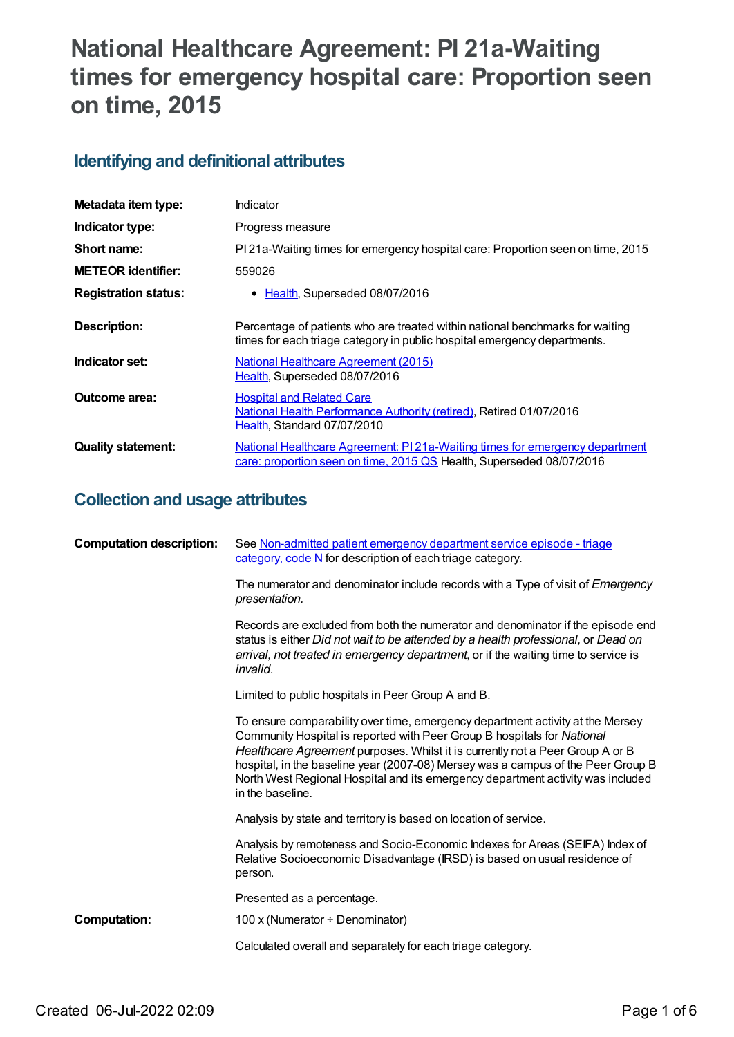# **National Healthcare Agreement: PI 21a-Waiting times for emergency hospital care: Proportion seen on time, 2015**

# **Identifying and definitional attributes**

| Metadata item type:         | Indicator                                                                                                                                                 |
|-----------------------------|-----------------------------------------------------------------------------------------------------------------------------------------------------------|
| Indicator type:             | Progress measure                                                                                                                                          |
| Short name:                 | PI 21a-Waiting times for emergency hospital care: Proportion seen on time, 2015                                                                           |
| <b>METEOR identifier:</b>   | 559026                                                                                                                                                    |
| <b>Registration status:</b> | • Health, Superseded 08/07/2016                                                                                                                           |
| Description:                | Percentage of patients who are treated within national benchmarks for waiting<br>times for each triage category in public hospital emergency departments. |
| Indicator set:              | <b>National Healthcare Agreement (2015)</b><br>Health, Superseded 08/07/2016                                                                              |
| Outcome area:               | <b>Hospital and Related Care</b><br>National Health Performance Authority (retired), Retired 01/07/2016<br>Health, Standard 07/07/2010                    |
| <b>Quality statement:</b>   | National Healthcare Agreement: PI21a-Waiting times for emergency department<br>care: proportion seen on time, 2015 QS Health, Superseded 08/07/2016       |

# **Collection and usage attributes**

| <b>Computation description:</b> | See Non-admitted patient emergency department service episode - triage<br>category, code N for description of each triage category.                                                                                                                                                                                                                                                                                                   |
|---------------------------------|---------------------------------------------------------------------------------------------------------------------------------------------------------------------------------------------------------------------------------------------------------------------------------------------------------------------------------------------------------------------------------------------------------------------------------------|
|                                 | The numerator and denominator include records with a Type of visit of <i>Emergency</i><br>presentation.                                                                                                                                                                                                                                                                                                                               |
|                                 | Records are excluded from both the numerator and denominator if the episode end<br>status is either Did not wait to be attended by a health professional, or Dead on<br>arrival, not treated in emergency department, or if the waiting time to service is<br>invalid.                                                                                                                                                                |
|                                 | Limited to public hospitals in Peer Group A and B.                                                                                                                                                                                                                                                                                                                                                                                    |
|                                 | To ensure comparability over time, emergency department activity at the Mersey<br>Community Hospital is reported with Peer Group B hospitals for National<br>Healthcare Agreement purposes. Whilst it is currently not a Peer Group A or B<br>hospital, in the baseline year (2007-08) Mersey was a campus of the Peer Group B<br>North West Regional Hospital and its emergency department activity was included<br>in the baseline. |
|                                 | Analysis by state and territory is based on location of service.                                                                                                                                                                                                                                                                                                                                                                      |
|                                 | Analysis by remoteness and Socio-Economic Indexes for Areas (SEIFA) Index of<br>Relative Socioeconomic Disadvantage (IRSD) is based on usual residence of<br>person.                                                                                                                                                                                                                                                                  |
|                                 | Presented as a percentage.                                                                                                                                                                                                                                                                                                                                                                                                            |
| <b>Computation:</b>             | 100 x (Numerator $\div$ Denominator)                                                                                                                                                                                                                                                                                                                                                                                                  |
|                                 | Calculated overall and separately for each triage category.                                                                                                                                                                                                                                                                                                                                                                           |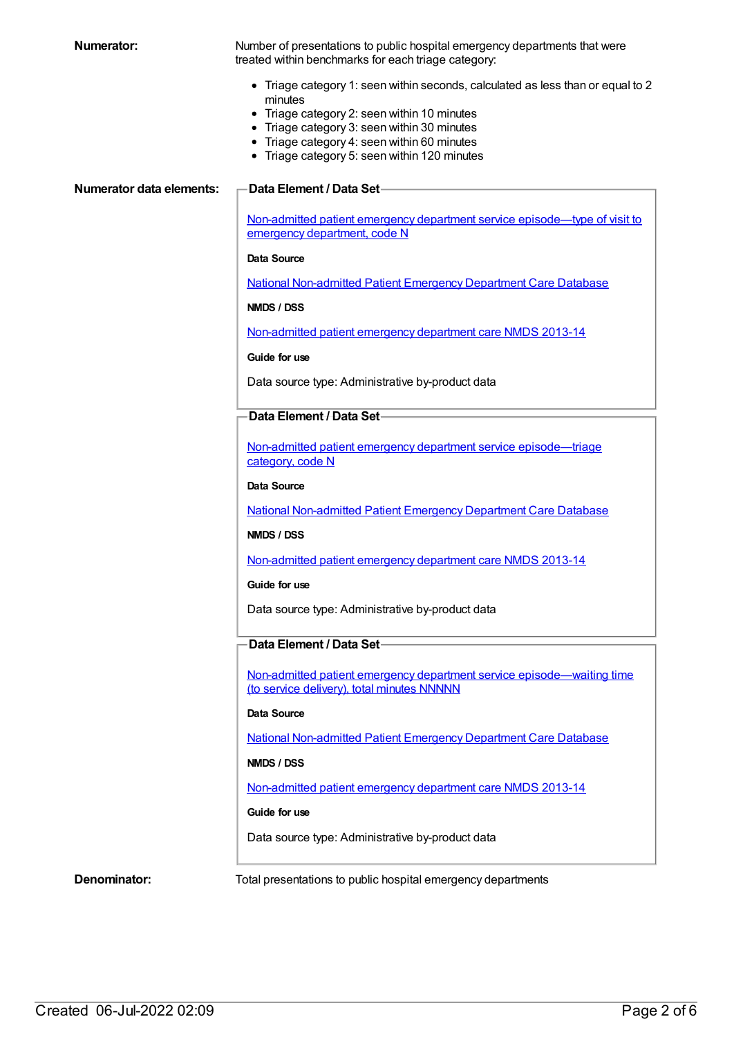**Numerator:** Number of presentations to public hospital emergency departments that were treated within benchmarks for each triage category:

- Triage category 1: seen within seconds, calculated as less than or equal to 2 minutes
- Triage category 2: seen within 10 minutes
- Triage category 3: seen within 30 minutes
- Triage category 4: seen within 60 minutes
- Triage category 5: seen within 120 minutes

#### **Numerator data elements: Data Element / Data Set**

Non-admitted patient emergency department service [episode—type](https://meteor.aihw.gov.au/content/270362) of visit to emergency department, code N

#### **Data Source**

National [Non-admitted](https://meteor.aihw.gov.au/content/394733) Patient Emergency Department Care Database

**NMDS / DSS**

[Non-admitted](https://meteor.aihw.gov.au/content/509116) patient emergency department care NMDS 2013-14

**Guide for use**

Data source type: Administrative by-product data

### **Data Element / Data Set**

Non-admitted patient emergency department service [episode—triage](https://meteor.aihw.gov.au/content/390392) category, code N

#### **Data Source**

National [Non-admitted](https://meteor.aihw.gov.au/content/394733) Patient Emergency Department Care Database

#### **NMDS / DSS**

[Non-admitted](https://meteor.aihw.gov.au/content/509116) patient emergency department care NMDS 2013-14

#### **Guide for use**

Data source type: Administrative by-product data

## **Data Element / Data Set**

Non-admitted patient emergency department service [episode—waiting](https://meteor.aihw.gov.au/content/390412) time (to service delivery), total minutes NNNNN

#### **Data Source**

National [Non-admitted](https://meteor.aihw.gov.au/content/394733) Patient Emergency Department Care Database

#### **NMDS / DSS**

[Non-admitted](https://meteor.aihw.gov.au/content/509116) patient emergency department care NMDS 2013-14

#### **Guide for use**

Data source type: Administrative by-product data

**Denominator:** Total presentations to public hospital emergency departments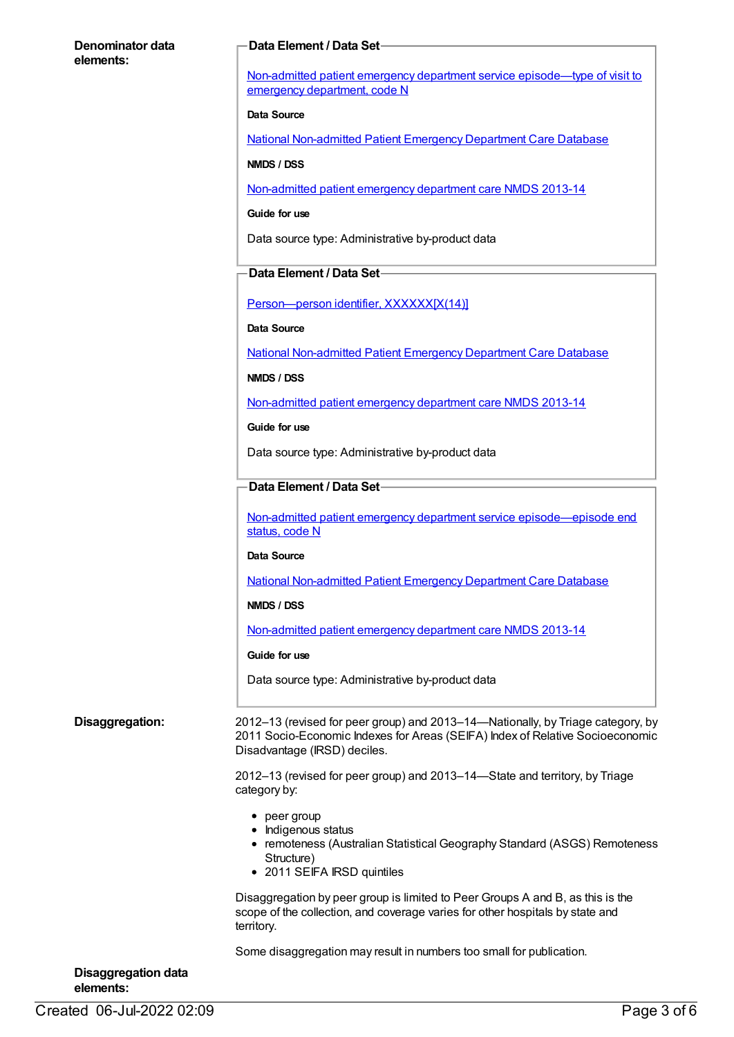### **Denominator data elements:**

### **Data Element / Data Set**

Non-admitted patient emergency department service [episode—type](https://meteor.aihw.gov.au/content/270362) of visit to emergency department, code N

#### **Data Source**

National [Non-admitted](https://meteor.aihw.gov.au/content/394733) Patient Emergency Department Care Database

**NMDS / DSS**

[Non-admitted](https://meteor.aihw.gov.au/content/509116) patient emergency department care NMDS 2013-14

**Guide for use**

Data source type: Administrative by-product data

### **Data Element / Data Set**

Person-person identifier, XXXXXX[X(14)]

#### **Data Source**

National [Non-admitted](https://meteor.aihw.gov.au/content/394733) Patient Emergency Department Care Database

#### **NMDS / DSS**

[Non-admitted](https://meteor.aihw.gov.au/content/509116) patient emergency department care NMDS 2013-14

**Guide for use**

Data source type: Administrative by-product data

### **Data Element / Data Set**

Non-admitted patient emergency department service [episode—episode](https://meteor.aihw.gov.au/content/322641) end status, code N

#### **Data Source**

National [Non-admitted](https://meteor.aihw.gov.au/content/394733) Patient Emergency Department Care Database

**NMDS / DSS**

[Non-admitted](https://meteor.aihw.gov.au/content/509116) patient emergency department care NMDS 2013-14

#### **Guide for use**

Data source type: Administrative by-product data

**Disaggregation:** 2012–13 (revised for peer group) and 2013–14—Nationally, by Triage category, by 2011 Socio-Economic Indexes for Areas (SEIFA) Index of Relative Socioeconomic Disadvantage (IRSD) deciles.

> 2012–13 (revised for peer group) and 2013–14—State and territory, by Triage category by:

- $\bullet$  peer group
- Indigenous status
- remoteness (Australian Statistical Geography Standard (ASGS) Remoteness Structure)
- 2011 SEIFA IRSD quintiles

Disaggregation by peer group is limited to Peer Groups A and B, as this is the scope of the collection, and coverage varies for other hospitals by state and territory.

Some disaggregation may result in numbers too small for publication.

| <b>Disaggregation data</b> |  |
|----------------------------|--|
| elements:                  |  |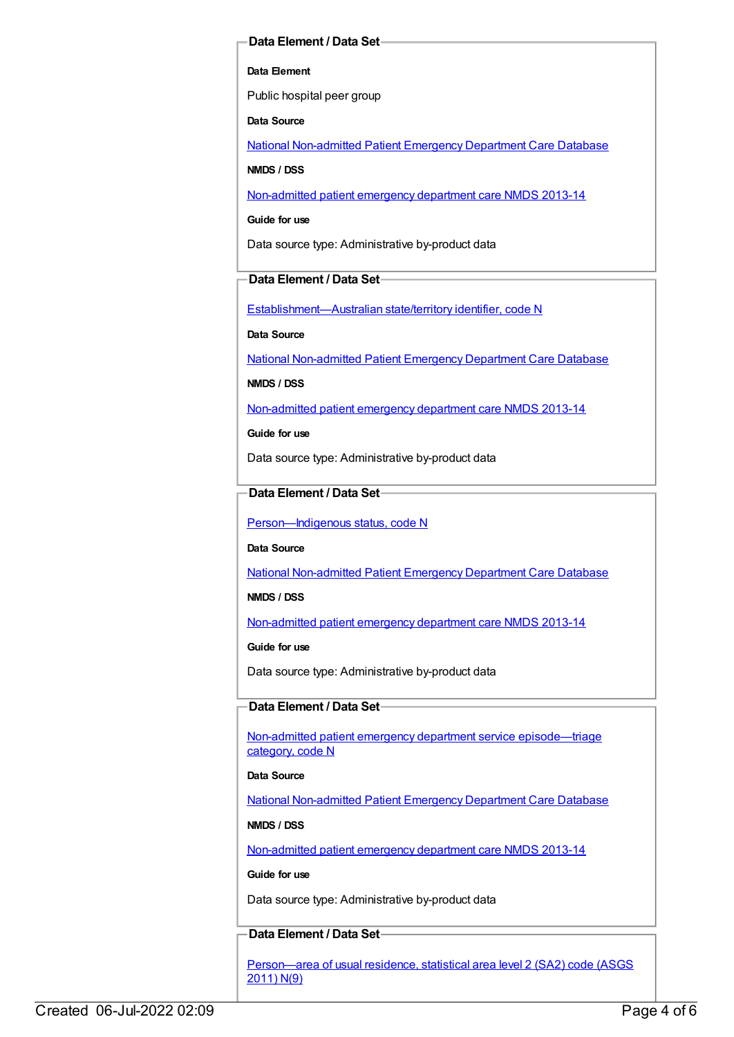### **Data Element / Data Set**

#### **Data Element**

Public hospital peer group

**Data Source**

National [Non-admitted](https://meteor.aihw.gov.au/content/394733) Patient Emergency Department Care Database

**NMDS / DSS**

[Non-admitted](https://meteor.aihw.gov.au/content/509116) patient emergency department care NMDS 2013-14

**Guide for use**

Data source type: Administrative by-product data

# **Data Element / Data Set**

[Establishment—Australian](https://meteor.aihw.gov.au/content/269941) state/territory identifier, code N

**Data Source**

National [Non-admitted](https://meteor.aihw.gov.au/content/394733) Patient Emergency Department Care Database

**NMDS / DSS**

[Non-admitted](https://meteor.aihw.gov.au/content/509116) patient emergency department care NMDS 2013-14

**Guide for use**

Data source type: Administrative by-product data

# **Data Element / Data Set**

[Person—Indigenous](https://meteor.aihw.gov.au/content/291036) status, code N

**Data Source**

National [Non-admitted](https://meteor.aihw.gov.au/content/394733) Patient Emergency Department Care Database

**NMDS / DSS**

[Non-admitted](https://meteor.aihw.gov.au/content/509116) patient emergency department care NMDS 2013-14

**Guide for use**

Data source type: Administrative by-product data

# **Data Element / Data Set**

Non-admitted patient emergency department service [episode—triage](https://meteor.aihw.gov.au/content/390392) category, code N

### **Data Source**

National [Non-admitted](https://meteor.aihw.gov.au/content/394733) Patient Emergency Department Care Database

### **NMDS / DSS**

[Non-admitted](https://meteor.aihw.gov.au/content/509116) patient emergency department care NMDS 2013-14

### **Guide for use**

Data source type: Administrative by-product data

# **Data Element / Data Set**

[Person—area](https://meteor.aihw.gov.au/content/469909) of usual residence, statistical area level 2 (SA2) code (ASGS 2011) N(9)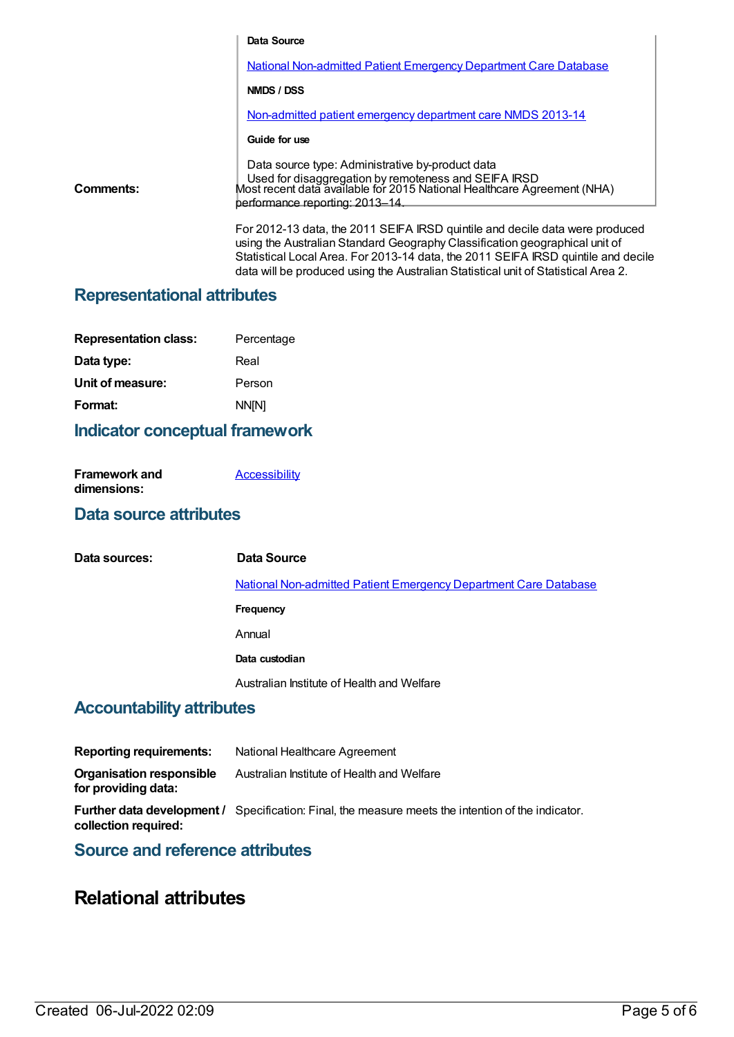|           | Data Source                                                                                                                                                                                                                                                                                                                            |
|-----------|----------------------------------------------------------------------------------------------------------------------------------------------------------------------------------------------------------------------------------------------------------------------------------------------------------------------------------------|
|           | <b>National Non-admitted Patient Emergency Department Care Database</b>                                                                                                                                                                                                                                                                |
|           | NMDS / DSS                                                                                                                                                                                                                                                                                                                             |
|           | Non-admitted patient emergency department care NMDS 2013-14                                                                                                                                                                                                                                                                            |
|           | Guide for use                                                                                                                                                                                                                                                                                                                          |
| Comments: | Data source type: Administrative by-product data<br>Used for disaggregation by remoteness and SEIFA IRSD<br>Most recent data available for 2015 National Healthcare Agreement (NHA)<br>performance reporting: 2013-14.                                                                                                                 |
|           | For 2012-13 data, the 2011 SEIFA IRSD quintile and decile data were produced<br>using the Australian Standard Geography Classification geographical unit of<br>Statistical Local Area. For 2013-14 data, the 2011 SEIFA IRSD quintile and decile<br>data will be produced using the Australian Statistical unit of Statistical Area 2. |

# **Representational attributes**

| Percentage   |
|--------------|
| Real         |
| Person       |
| <b>NN[N]</b> |
|              |

# **Indicator conceptual framework**

| <b>Framework and</b> | <b>Accessibility</b> |
|----------------------|----------------------|
| dimensions:          |                      |

# **Data source attributes**

| Data sources:             | Data Source                                                             |
|---------------------------|-------------------------------------------------------------------------|
|                           | <b>National Non-admitted Patient Emergency Department Care Database</b> |
|                           | Frequency                                                               |
|                           | Annual                                                                  |
|                           | Data custodian                                                          |
|                           | Australian Institute of Health and Welfare                              |
| Accountability attributos |                                                                         |

# **Accountability attributes**

| <b>Reporting requirements:</b>                         | National Healthcare Agreement                                                                             |
|--------------------------------------------------------|-----------------------------------------------------------------------------------------------------------|
| <b>Organisation responsible</b><br>for providing data: | Australian Institute of Health and Welfare                                                                |
| collection required:                                   | <b>Further data development /</b> Specification: Final, the measure meets the intention of the indicator. |

# **Source and reference attributes**

# **Relational attributes**